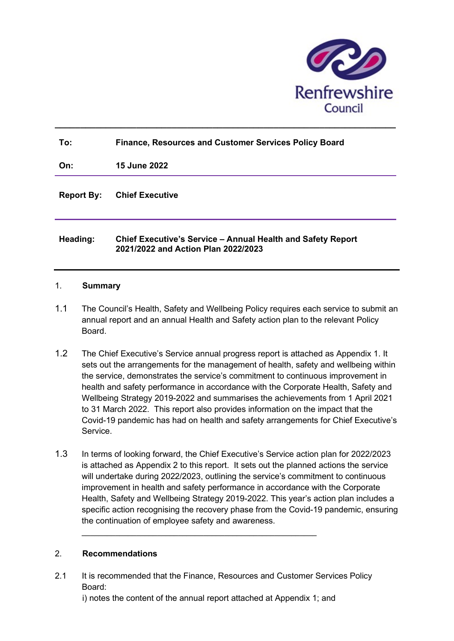

| To:               | <b>Finance, Resources and Customer Services Policy Board</b>                                       |
|-------------------|----------------------------------------------------------------------------------------------------|
| On:               | <b>15 June 2022</b>                                                                                |
| <b>Report By:</b> | <b>Chief Executive</b>                                                                             |
| Heading:          | Chief Executive's Service - Annual Health and Safety Report<br>2021/2022 and Action Plan 2022/2023 |

 $\_$  ,  $\_$  ,  $\_$  ,  $\_$  ,  $\_$  ,  $\_$  ,  $\_$  ,  $\_$  ,  $\_$  ,  $\_$  ,  $\_$  ,  $\_$  ,  $\_$  ,  $\_$  ,  $\_$  ,  $\_$  ,  $\_$  ,  $\_$  ,  $\_$  ,  $\_$  ,  $\_$  ,  $\_$  ,  $\_$  ,  $\_$  ,  $\_$  ,  $\_$  ,  $\_$  ,  $\_$  ,  $\_$  ,  $\_$  ,  $\_$  ,  $\_$  ,  $\_$  ,  $\_$  ,  $\_$  ,  $\_$  ,  $\_$  ,

#### 1. Summary

- 1.1 The Council's Health, Safety and Wellbeing Policy requires each service to submit an annual report and an annual Health and Safety action plan to the relevant Policy Board.
- 1.2 The Chief Executive's Service annual progress report is attached as Appendix 1. It sets out the arrangements for the management of health, safety and wellbeing within the service, demonstrates the service's commitment to continuous improvement in health and safety performance in accordance with the Corporate Health, Safety and Wellbeing Strategy 2019-2022 and summarises the achievements from 1 April 2021 to 31 March 2022. This report also provides information on the impact that the Covid-19 pandemic has had on health and safety arrangements for Chief Executive's Service.
- 1.3 In terms of looking forward, the Chief Executive's Service action plan for 2022/2023 is attached as Appendix 2 to this report. It sets out the planned actions the service will undertake during 2022/2023, outlining the service's commitment to continuous improvement in health and safety performance in accordance with the Corporate Health, Safety and Wellbeing Strategy 2019-2022. This year's action plan includes a specific action recognising the recovery phase from the Covid-19 pandemic, ensuring the continuation of employee safety and awareness.

#### 2. Recommendations

2.1 It is recommended that the Finance, Resources and Customer Services Policy Board:

i) notes the content of the annual report attached at Appendix 1; and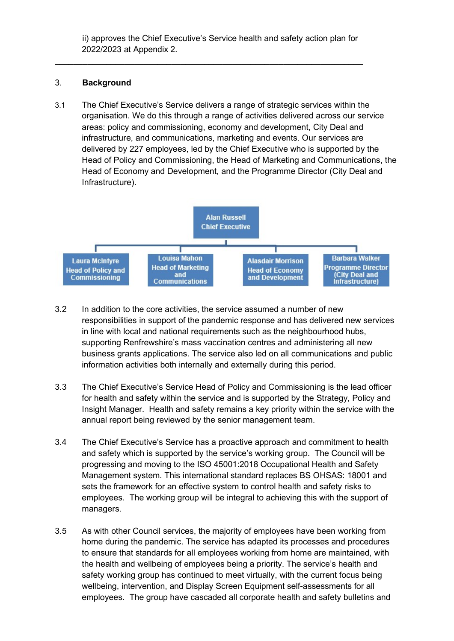ii) approves the Chief Executive's Service health and safety action plan for 2022/2023 at Appendix 2.

 $\_$  , and the set of the set of the set of the set of the set of the set of the set of the set of the set of the set of the set of the set of the set of the set of the set of the set of the set of the set of the set of th

#### 3. Background

3.1 The Chief Executive's Service delivers a range of strategic services within the organisation. We do this through a range of activities delivered across our service areas: policy and commissioning, economy and development, City Deal and infrastructure, and communications, marketing and events. Our services are delivered by 227 employees, led by the Chief Executive who is supported by the Head of Policy and Commissioning, the Head of Marketing and Communications, the Head of Economy and Development, and the Programme Director (City Deal and Infrastructure).



- 3.2 In addition to the core activities, the service assumed a number of new responsibilities in support of the pandemic response and has delivered new services in line with local and national requirements such as the neighbourhood hubs, supporting Renfrewshire's mass vaccination centres and administering all new business grants applications. The service also led on all communications and public information activities both internally and externally during this period.
- 3.3 The Chief Executive's Service Head of Policy and Commissioning is the lead officer for health and safety within the service and is supported by the Strategy, Policy and Insight Manager. Health and safety remains a key priority within the service with the annual report being reviewed by the senior management team.
- 3.4 The Chief Executive's Service has a proactive approach and commitment to health and safety which is supported by the service's working group. The Council will be progressing and moving to the ISO 45001:2018 Occupational Health and Safety Management system. This international standard replaces BS OHSAS: 18001 and sets the framework for an effective system to control health and safety risks to employees. The working group will be integral to achieving this with the support of managers.
- 3.5 As with other Council services, the majority of employees have been working from home during the pandemic. The service has adapted its processes and procedures to ensure that standards for all employees working from home are maintained, with the health and wellbeing of employees being a priority. The service's health and safety working group has continued to meet virtually, with the current focus being wellbeing, intervention, and Display Screen Equipment self-assessments for all employees. The group have cascaded all corporate health and safety bulletins and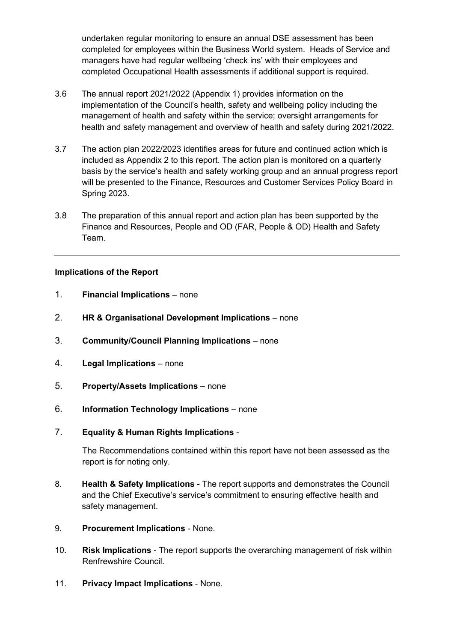undertaken regular monitoring to ensure an annual DSE assessment has been completed for employees within the Business World system. Heads of Service and managers have had regular wellbeing 'check ins' with their employees and completed Occupational Health assessments if additional support is required.

- 3.6 The annual report 2021/2022 (Appendix 1) provides information on the implementation of the Council's health, safety and wellbeing policy including the management of health and safety within the service; oversight arrangements for health and safety management and overview of health and safety during 2021/2022.
- 3.7 The action plan 2022/2023 identifies areas for future and continued action which is included as Appendix 2 to this report. The action plan is monitored on a quarterly basis by the service's health and safety working group and an annual progress report will be presented to the Finance, Resources and Customer Services Policy Board in Spring 2023.
- 3.8 The preparation of this annual report and action plan has been supported by the Finance and Resources, People and OD (FAR, People & OD) Health and Safety Team.

#### Implications of the Report

- 1. Financial Implications none
- 2. HR & Organisational Development Implications none
- 3. Community/Council Planning Implications none
- 4. Legal Implications none
- 5. Property/Assets Implications none
- 6. Information Technology Implications none
- 7. Equality & Human Rights Implications -

The Recommendations contained within this report have not been assessed as the report is for noting only.

- 8. Health & Safety Implications The report supports and demonstrates the Council and the Chief Executive's service's commitment to ensuring effective health and safety management.
- 9. Procurement Implications None.
- 10. Risk Implications The report supports the overarching management of risk within Renfrewshire Council.
- 11. Privacy Impact Implications None.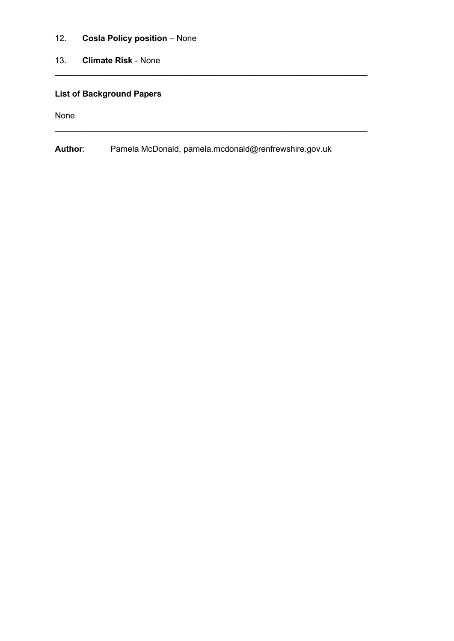- 12. Cosla Policy position None
- 13. Climate Risk None

#### List of Background Papers

None

Author: Pamela McDonald, pamela.mcdonald@renfrewshire.gov.uk

 $\_$  , and the set of the set of the set of the set of the set of the set of the set of the set of the set of the set of the set of the set of the set of the set of the set of the set of the set of the set of the set of th

 $\_$  , and the set of the set of the set of the set of the set of the set of the set of the set of the set of the set of the set of the set of the set of the set of the set of the set of the set of the set of the set of th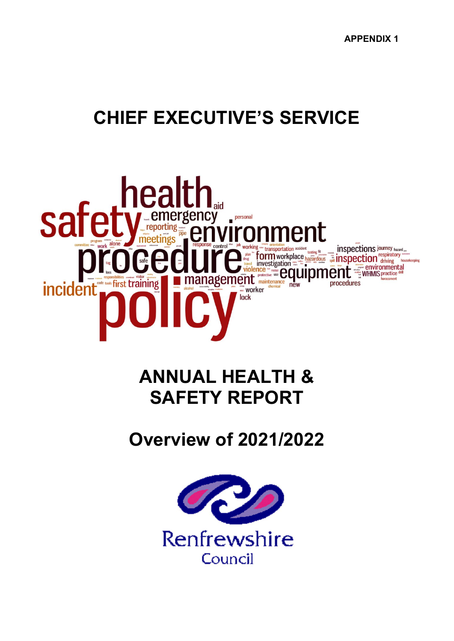# CHIEF EXECUTIVE'S SERVICE



## ANNUAL HEALTH & SAFETY REPORT

Overview of 2021/2022

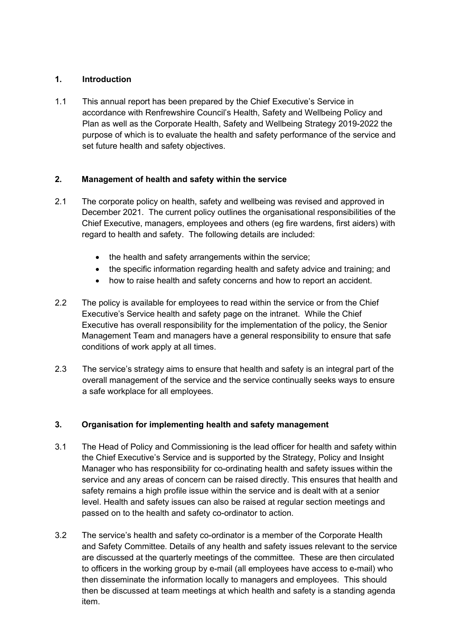#### 1. Introduction

1.1 This annual report has been prepared by the Chief Executive's Service in accordance with Renfrewshire Council's Health, Safety and Wellbeing Policy and Plan as well as the Corporate Health, Safety and Wellbeing Strategy 2019-2022 the purpose of which is to evaluate the health and safety performance of the service and set future health and safety objectives.

#### 2. Management of health and safety within the service

- 2.1 The corporate policy on health, safety and wellbeing was revised and approved in December 2021. The current policy outlines the organisational responsibilities of the Chief Executive, managers, employees and others (eg fire wardens, first aiders) with regard to health and safety. The following details are included:
	- the health and safety arrangements within the service;
	- the specific information regarding health and safety advice and training; and
	- how to raise health and safety concerns and how to report an accident.
- 2.2 The policy is available for employees to read within the service or from the Chief Executive's Service health and safety page on the intranet. While the Chief Executive has overall responsibility for the implementation of the policy, the Senior Management Team and managers have a general responsibility to ensure that safe conditions of work apply at all times.
- 2.3 The service's strategy aims to ensure that health and safety is an integral part of the overall management of the service and the service continually seeks ways to ensure a safe workplace for all employees.

#### 3. Organisation for implementing health and safety management

- 3.1 The Head of Policy and Commissioning is the lead officer for health and safety within the Chief Executive's Service and is supported by the Strategy, Policy and Insight Manager who has responsibility for co-ordinating health and safety issues within the service and any areas of concern can be raised directly. This ensures that health and safety remains a high profile issue within the service and is dealt with at a senior level. Health and safety issues can also be raised at regular section meetings and passed on to the health and safety co-ordinator to action.
- 3.2 The service's health and safety co-ordinator is a member of the Corporate Health and Safety Committee. Details of any health and safety issues relevant to the service are discussed at the quarterly meetings of the committee. These are then circulated to officers in the working group by e-mail (all employees have access to e-mail) who then disseminate the information locally to managers and employees. This should then be discussed at team meetings at which health and safety is a standing agenda item.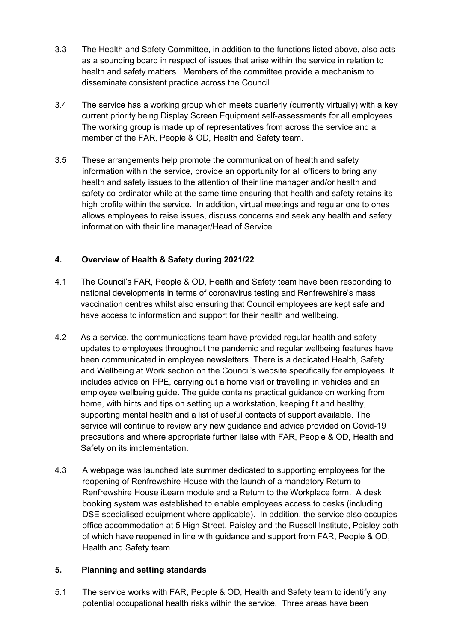- 3.3 The Health and Safety Committee, in addition to the functions listed above, also acts as a sounding board in respect of issues that arise within the service in relation to health and safety matters. Members of the committee provide a mechanism to disseminate consistent practice across the Council.
- 3.4 The service has a working group which meets quarterly (currently virtually) with a key current priority being Display Screen Equipment self-assessments for all employees. The working group is made up of representatives from across the service and a member of the FAR, People & OD, Health and Safety team.
- 3.5 These arrangements help promote the communication of health and safety information within the service, provide an opportunity for all officers to bring any health and safety issues to the attention of their line manager and/or health and safety co-ordinator while at the same time ensuring that health and safety retains its high profile within the service. In addition, virtual meetings and regular one to ones allows employees to raise issues, discuss concerns and seek any health and safety information with their line manager/Head of Service.

#### 4. Overview of Health & Safety during 2021/22

- 4.1 The Council's FAR, People & OD, Health and Safety team have been responding to national developments in terms of coronavirus testing and Renfrewshire's mass vaccination centres whilst also ensuring that Council employees are kept safe and have access to information and support for their health and wellbeing.
- 4.2 As a service, the communications team have provided regular health and safety updates to employees throughout the pandemic and regular wellbeing features have been communicated in employee newsletters. There is a dedicated Health, Safety and Wellbeing at Work section on the Council's website specifically for employees. It includes advice on PPE, carrying out a home visit or travelling in vehicles and an employee wellbeing guide. The guide contains practical guidance on working from home, with hints and tips on setting up a workstation, keeping fit and healthy, supporting mental health and a list of useful contacts of support available. The service will continue to review any new guidance and advice provided on Covid-19 precautions and where appropriate further liaise with FAR, People & OD, Health and Safety on its implementation.
- 4.3 A webpage was launched late summer dedicated to supporting employees for the reopening of Renfrewshire House with the launch of a mandatory Return to Renfrewshire House iLearn module and a Return to the Workplace form. A desk booking system was established to enable employees access to desks (including DSE specialised equipment where applicable). In addition, the service also occupies office accommodation at 5 High Street, Paisley and the Russell Institute, Paisley both of which have reopened in line with guidance and support from FAR, People & OD, Health and Safety team.

#### 5. Planning and setting standards

5.1 The service works with FAR, People & OD, Health and Safety team to identify any potential occupational health risks within the service. Three areas have been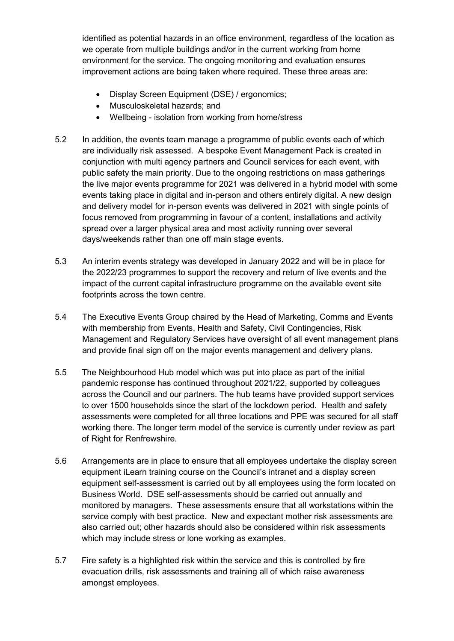identified as potential hazards in an office environment, regardless of the location as we operate from multiple buildings and/or in the current working from home environment for the service. The ongoing monitoring and evaluation ensures improvement actions are being taken where required. These three areas are:

- Display Screen Equipment (DSE) / ergonomics;
- Musculoskeletal hazards; and
- Wellbeing isolation from working from home/stress
- 5.2 In addition, the events team manage a programme of public events each of which are individually risk assessed. A bespoke Event Management Pack is created in conjunction with multi agency partners and Council services for each event, with public safety the main priority. Due to the ongoing restrictions on mass gatherings the live major events programme for 2021 was delivered in a hybrid model with some events taking place in digital and in-person and others entirely digital. A new design and delivery model for in-person events was delivered in 2021 with single points of focus removed from programming in favour of a content, installations and activity spread over a larger physical area and most activity running over several days/weekends rather than one off main stage events.
- 5.3 An interim events strategy was developed in January 2022 and will be in place for the 2022/23 programmes to support the recovery and return of live events and the impact of the current capital infrastructure programme on the available event site footprints across the town centre.
- 5.4 The Executive Events Group chaired by the Head of Marketing, Comms and Events with membership from Events, Health and Safety, Civil Contingencies, Risk Management and Regulatory Services have oversight of all event management plans and provide final sign off on the major events management and delivery plans.
- 5.5 The Neighbourhood Hub model which was put into place as part of the initial pandemic response has continued throughout 2021/22, supported by colleagues across the Council and our partners. The hub teams have provided support services to over 1500 households since the start of the lockdown period. Health and safety assessments were completed for all three locations and PPE was secured for all staff working there. The longer term model of the service is currently under review as part of Right for Renfrewshire.
- 5.6 Arrangements are in place to ensure that all employees undertake the display screen equipment iLearn training course on the Council's intranet and a display screen equipment self-assessment is carried out by all employees using the form located on Business World. DSE self-assessments should be carried out annually and monitored by managers. These assessments ensure that all workstations within the service comply with best practice. New and expectant mother risk assessments are also carried out; other hazards should also be considered within risk assessments which may include stress or lone working as examples.
- 5.7 Fire safety is a highlighted risk within the service and this is controlled by fire evacuation drills, risk assessments and training all of which raise awareness amongst employees.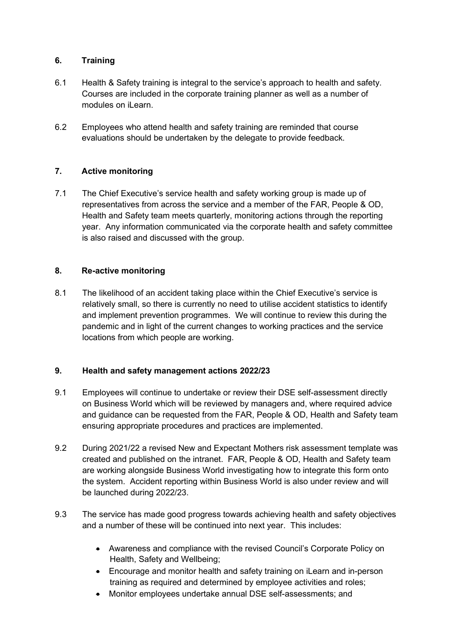#### 6. Training

- 6.1 Health & Safety training is integral to the service's approach to health and safety. Courses are included in the corporate training planner as well as a number of modules on iLearn.
- 6.2 Employees who attend health and safety training are reminded that course evaluations should be undertaken by the delegate to provide feedback.

#### 7. Active monitoring

7.1 The Chief Executive's service health and safety working group is made up of representatives from across the service and a member of the FAR, People & OD, Health and Safety team meets quarterly, monitoring actions through the reporting year. Any information communicated via the corporate health and safety committee is also raised and discussed with the group.

#### 8. Re-active monitoring

8.1 The likelihood of an accident taking place within the Chief Executive's service is relatively small, so there is currently no need to utilise accident statistics to identify and implement prevention programmes. We will continue to review this during the pandemic and in light of the current changes to working practices and the service locations from which people are working.

#### 9. Health and safety management actions 2022/23

- 9.1 Employees will continue to undertake or review their DSE self-assessment directly on Business World which will be reviewed by managers and, where required advice and guidance can be requested from the FAR, People & OD, Health and Safety team ensuring appropriate procedures and practices are implemented.
- 9.2 During 2021/22 a revised New and Expectant Mothers risk assessment template was created and published on the intranet. FAR, People & OD, Health and Safety team are working alongside Business World investigating how to integrate this form onto the system. Accident reporting within Business World is also under review and will be launched during 2022/23.
- 9.3 The service has made good progress towards achieving health and safety objectives and a number of these will be continued into next year. This includes:
	- Awareness and compliance with the revised Council's Corporate Policy on Health, Safety and Wellbeing;
	- Encourage and monitor health and safety training on iLearn and in-person training as required and determined by employee activities and roles;
	- Monitor employees undertake annual DSE self-assessments; and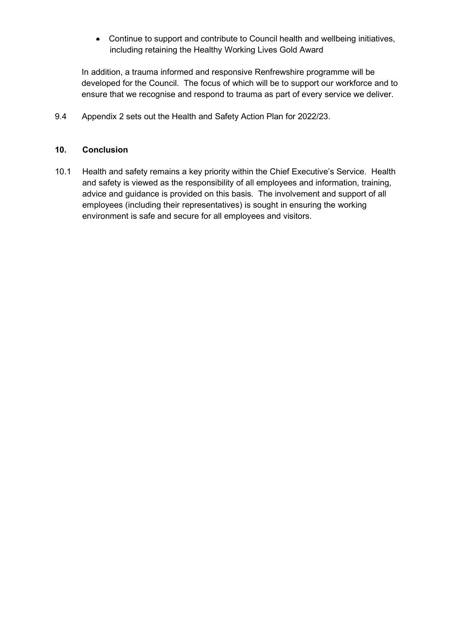Continue to support and contribute to Council health and wellbeing initiatives, including retaining the Healthy Working Lives Gold Award

In addition, a trauma informed and responsive Renfrewshire programme will be developed for the Council. The focus of which will be to support our workforce and to ensure that we recognise and respond to trauma as part of every service we deliver.

9.4 Appendix 2 sets out the Health and Safety Action Plan for 2022/23.

#### 10. Conclusion

10.1 Health and safety remains a key priority within the Chief Executive's Service. Health and safety is viewed as the responsibility of all employees and information, training, advice and guidance is provided on this basis. The involvement and support of all employees (including their representatives) is sought in ensuring the working environment is safe and secure for all employees and visitors.